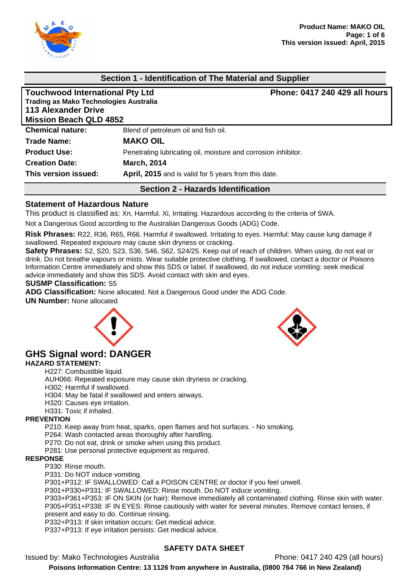

### **Section 1 - Identification of The Material and Supplier**

| <b>Touchwood International Pty Ltd</b><br><b>Trading as Mako Technologies Australia</b><br><b>113 Alexander Drive</b><br><b>Mission Beach QLD 4852</b> | Phone: 0417 240 429 all hours                                  |  |  |
|--------------------------------------------------------------------------------------------------------------------------------------------------------|----------------------------------------------------------------|--|--|
| <b>Chemical nature:</b>                                                                                                                                | Blend of petroleum oil and fish oil.                           |  |  |
| Trade Name:                                                                                                                                            | <b>MAKO OIL</b>                                                |  |  |
| <b>Product Use:</b>                                                                                                                                    | Penetrating lubricating oil, moisture and corrosion inhibitor. |  |  |
| <b>Creation Date:</b>                                                                                                                                  | <b>March, 2014</b>                                             |  |  |
| This version issued:                                                                                                                                   | April, 2015 and is valid for 5 years from this date.           |  |  |
|                                                                                                                                                        | <b>Section 2 - Hazards Identification</b>                      |  |  |

#### **Statement of Hazardous Nature**

This product is classified as: Xn, Harmful. Xi, Irritating. Hazardous according to the criteria of SWA.

Not a Dangerous Good according to the Australian Dangerous Goods (ADG) Code.

**Risk Phrases:** R22, R36, R65, R66. Harmful if swallowed. Irritating to eyes. Harmful: May cause lung damage if swallowed. Repeated exposure may cause skin dryness or cracking.

**Safety Phrases:** S2, S20, S23, S36, S46, S62, S24/25. Keep out of reach of children. When using, do not eat or drink. Do not breathe vapours or mists. Wear suitable protective clothing. If swallowed, contact a doctor or Poisons Information Centre immediately and show this SDS or label. If swallowed, do not induce vomiting: seek medical advice immediately and show this SDS. Avoid contact with skin and eyes.

#### **SUSMP Classification:** S5

**ADG Classification:** None allocated. Not a Dangerous Good under the ADG Code.

**UN Number:** None allocated





#### **GHS Signal word: DANGER HAZARD STATEMENT:**

H227: Combustible liquid. AUH066: Repeated exposure may cause skin dryness or cracking. H302: Harmful if swallowed. H304: May be fatal if swallowed and enters airways. H320: Causes eye irritation.

H331: Toxic if inhaled.

#### **PREVENTION**

P210: Keep away from heat, sparks, open flames and hot surfaces. - No smoking.

P264: Wash contacted areas thoroughly after handling.

P270: Do not eat, drink or smoke when using this product.

P281: Use personal protective equipment as required.

#### **RESPONSE**

P330: Rinse mouth.

P331: Do NOT induce vomiting.

P301+P312: IF SWALLOWED: Call a POISON CENTRE or doctor if you feel unwell.

P301+P330+P331: IF SWALLOWED: Rinse mouth. Do NOT induce vomiting.

P303+P361+P353: IF ON SKIN (or hair): Remove immediately all contaminated clothing. Rinse skin with water. P305+P351+P338: IF IN EYES: Rinse cautiously with water for several minutes. Remove contact lenses, if present and easy to do. Continue rinsing.

P332+P313: If skin irritation occurs: Get medical advice.

P337+P313: If eye irritation persists: Get medical advice.

### **SAFETY DATA SHEET**

Issued by: Mako Technologies Australia Phone: 0417 240 429 (all hours)

**Poisons Information Centre: 13 1126 from anywhere in Australia, (0800 764 766 in New Zealand)**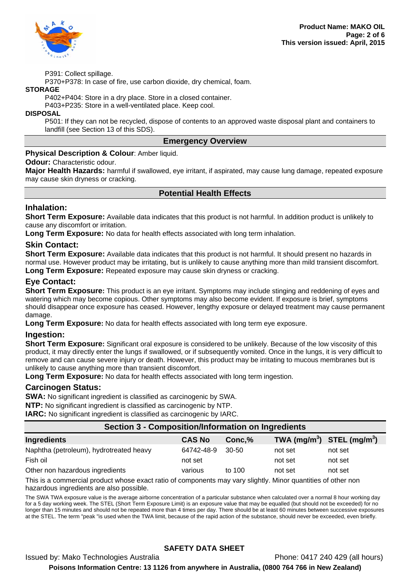

P391: Collect spillage.

P370+P378: In case of fire, use carbon dioxide, dry chemical, foam.

#### **STORAGE**

P402+P404: Store in a dry place. Store in a closed container.

P403+P235: Store in a well-ventilated place. Keep cool.

#### **DISPOSAL**

P501: If they can not be recycled, dispose of contents to an approved waste disposal plant and containers to landfill (see Section 13 of this SDS).

#### **Emergency Overview**

#### **Physical Description & Colour**: Amber liquid.

#### **Odour:** Characteristic odour.

**Major Health Hazards:** harmful if swallowed, eye irritant, if aspirated, may cause lung damage, repeated exposure may cause skin dryness or cracking.

### **Potential Health Effects**

### **Inhalation:**

**Short Term Exposure:** Available data indicates that this product is not harmful. In addition product is unlikely to cause any discomfort or irritation.

**Long Term Exposure:** No data for health effects associated with long term inhalation.

### **Skin Contact:**

**Short Term Exposure:** Available data indicates that this product is not harmful. It should present no hazards in normal use. However product may be irritating, but is unlikely to cause anything more than mild transient discomfort. **Long Term Exposure:** Repeated exposure may cause skin dryness or cracking.

### **Eye Contact:**

**Short Term Exposure:** This product is an eye irritant. Symptoms may include stinging and reddening of eyes and watering which may become copious. Other symptoms may also become evident. If exposure is brief, symptoms should disappear once exposure has ceased. However, lengthy exposure or delayed treatment may cause permanent damage.

**Long Term Exposure:** No data for health effects associated with long term eye exposure.

### **Ingestion:**

**Short Term Exposure:** Significant oral exposure is considered to be unlikely. Because of the low viscosity of this product, it may directly enter the lungs if swallowed, or if subsequently vomited. Once in the lungs, it is very difficult to remove and can cause severe injury or death. However, this product may be irritating to mucous membranes but is unlikely to cause anything more than transient discomfort.

**Long Term Exposure:** No data for health effects associated with long term ingestion.

#### **Carcinogen Status:**

**SWA:** No significant ingredient is classified as carcinogenic by SWA. **NTP:** No significant ingredient is classified as carcinogenic by NTP. **IARC:** No significant ingredient is classified as carcinogenic by IARC.

| Section 3 - Composition/Information on Ingredients                                                               |               |        |                                |         |  |  |
|------------------------------------------------------------------------------------------------------------------|---------------|--------|--------------------------------|---------|--|--|
| <b>Ingredients</b>                                                                                               | <b>CAS No</b> | Conc,% | TWA $(mg/m^3)$ STEL $(mg/m^3)$ |         |  |  |
| Naphtha (petroleum), hydrotreated heavy                                                                          | 64742-48-9    | 30-50  | not set                        | not set |  |  |
| Fish oil                                                                                                         | not set       |        | not set                        | not set |  |  |
| Other non hazardous ingredients                                                                                  | various       | to 100 | not set                        | not set |  |  |
| This is a common ship was duct who are constructive of common sample may write with a Marco monotice of attenues |               |        |                                |         |  |  |

This is a commercial product whose exact ratio of components may vary slightly. Minor quantities of other non hazardous ingredients are also possible.

The SWA TWA exposure value is the average airborne concentration of a particular substance when calculated over a normal 8 hour working day for a 5 day working week. The STEL (Short Term Exposure Limit) is an exposure value that may be equalled (but should not be exceeded) for no longer than 15 minutes and should not be repeated more than 4 times per day. There should be at least 60 minutes between successive exposures at the STEL. The term "peak "is used when the TWA limit, because of the rapid action of the substance, should never be exceeded, even briefly.

# **SAFETY DATA SHEET**

Issued by: Mako Technologies Australia Phone: 0417 240 429 (all hours)

**Poisons Information Centre: 13 1126 from anywhere in Australia, (0800 764 766 in New Zealand)**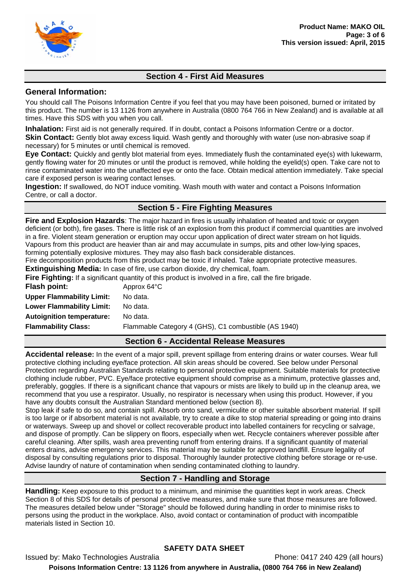

# **Section 4 - First Aid Measures**

### **General Information:**

You should call The Poisons Information Centre if you feel that you may have been poisoned, burned or irritated by this product. The number is 13 1126 from anywhere in Australia (0800 764 766 in New Zealand) and is available at all times. Have this SDS with you when you call.

**Inhalation:** First aid is not generally required. If in doubt, contact a Poisons Information Centre or a doctor. **Skin Contact:** Gently blot away excess liquid. Wash gently and thoroughly with water (use non-abrasive soap if necessary) for 5 minutes or until chemical is removed.

**Eye Contact:** Quickly and gently blot material from eyes. Immediately flush the contaminated eye(s) with lukewarm, gently flowing water for 20 minutes or until the product is removed, while holding the eyelid(s) open. Take care not to rinse contaminated water into the unaffected eye or onto the face. Obtain medical attention immediately. Take special care if exposed person is wearing contact lenses.

**Ingestion:** If swallowed, do NOT induce vomiting. Wash mouth with water and contact a Poisons Information Centre, or call a doctor.

# **Section 5 - Fire Fighting Measures**

**Fire and Explosion Hazards**: The major hazard in fires is usually inhalation of heated and toxic or oxygen deficient (or both), fire gases. There is little risk of an explosion from this product if commercial quantities are involved in a fire. Violent steam generation or eruption may occur upon application of direct water stream on hot liquids. Vapours from this product are heavier than air and may accumulate in sumps, pits and other low-lying spaces, forming potentially explosive mixtures. They may also flash back considerable distances.

Fire decomposition products from this product may be toxic if inhaled. Take appropriate protective measures.

**Extinguishing Media:** In case of fire, use carbon dioxide, dry chemical, foam.

| Fire Fighting: If a significant quantity of this product is involved in a fire, call the fire brigade. |                                                      |  |  |
|--------------------------------------------------------------------------------------------------------|------------------------------------------------------|--|--|
| Flash point:                                                                                           | Approx 64°C                                          |  |  |
| <b>Upper Flammability Limit:</b>                                                                       | No data.                                             |  |  |
| <b>Lower Flammability Limit:</b>                                                                       | No data.                                             |  |  |
| <b>Autoignition temperature:</b>                                                                       | No data.                                             |  |  |
| <b>Flammability Class:</b>                                                                             | Flammable Category 4 (GHS), C1 combustible (AS 1940) |  |  |

# **Section 6 - Accidental Release Measures**

**Accidental release:** In the event of a major spill, prevent spillage from entering drains or water courses. Wear full protective clothing including eye/face protection. All skin areas should be covered. See below under Personal Protection regarding Australian Standards relating to personal protective equipment. Suitable materials for protective clothing include rubber, PVC. Eye/face protective equipment should comprise as a minimum, protective glasses and, preferably, goggles. If there is a significant chance that vapours or mists are likely to build up in the cleanup area, we recommend that you use a respirator. Usually, no respirator is necessary when using this product. However, if you have any doubts consult the Australian Standard mentioned below (section 8).

Stop leak if safe to do so, and contain spill. Absorb onto sand, vermiculite or other suitable absorbent material. If spill is too large or if absorbent material is not available, try to create a dike to stop material spreading or going into drains or waterways. Sweep up and shovel or collect recoverable product into labelled containers for recycling or salvage, and dispose of promptly. Can be slippery on floors, especially when wet. Recycle containers wherever possible after careful cleaning. After spills, wash area preventing runoff from entering drains. If a significant quantity of material enters drains, advise emergency services. This material may be suitable for approved landfill. Ensure legality of disposal by consulting regulations prior to disposal. Thoroughly launder protective clothing before storage or re-use. Advise laundry of nature of contamination when sending contaminated clothing to laundry.

# **Section 7 - Handling and Storage**

**Handling:** Keep exposure to this product to a minimum, and minimise the quantities kept in work areas. Check Section 8 of this SDS for details of personal protective measures, and make sure that those measures are followed. The measures detailed below under "Storage" should be followed during handling in order to minimise risks to persons using the product in the workplace. Also, avoid contact or contamination of product with incompatible materials listed in Section 10.

# **SAFETY DATA SHEET**

Issued by: Mako Technologies Australia Phone: 0417 240 429 (all hours) **Poisons Information Centre: 13 1126 from anywhere in Australia, (0800 764 766 in New Zealand)**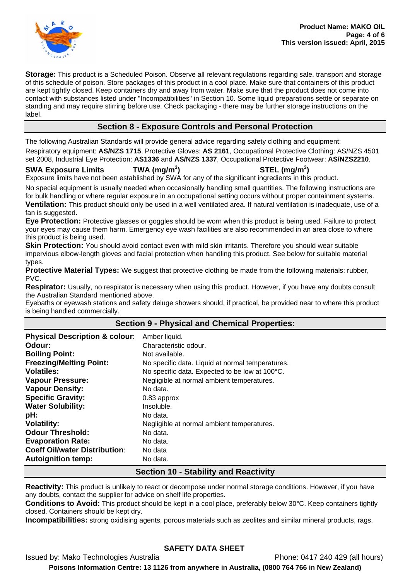

**Storage:** This product is a Scheduled Poison. Observe all relevant regulations regarding sale, transport and storage of this schedule of poison. Store packages of this product in a cool place. Make sure that containers of this product are kept tightly closed. Keep containers dry and away from water. Make sure that the product does not come into contact with substances listed under "Incompatibilities" in Section 10. Some liquid preparations settle or separate on standing and may require stirring before use. Check packaging - there may be further storage instructions on the label.

# **Section 8 - Exposure Controls and Personal Protection**

The following Australian Standards will provide general advice regarding safety clothing and equipment:

Respiratory equipment: **AS/NZS 1715**, Protective Gloves: **AS 2161**, Occupational Protective Clothing: AS/NZS 4501 set 2008, Industrial Eye Protection: **AS1336** and **AS/NZS 1337**, Occupational Protective Footwear: **AS/NZS2210**.

**SWA Exposure Limits TWA (mg/m<sup>3</sup>**

# **) STEL (mg/m<sup>3</sup> )**

Exposure limits have not been established by SWA for any of the significant ingredients in this product.

No special equipment is usually needed when occasionally handling small quantities. The following instructions are for bulk handling or where regular exposure in an occupational setting occurs without proper containment systems.

**Ventilation:** This product should only be used in a well ventilated area. If natural ventilation is inadequate, use of a fan is suggested.

**Eye Protection:** Protective glasses or goggles should be worn when this product is being used. Failure to protect your eyes may cause them harm. Emergency eye wash facilities are also recommended in an area close to where this product is being used.

**Skin Protection:** You should avoid contact even with mild skin irritants. Therefore you should wear suitable impervious elbow-length gloves and facial protection when handling this product. See below for suitable material types.

**Protective Material Types:** We suggest that protective clothing be made from the following materials: rubber, PVC.

**Respirator:** Usually, no respirator is necessary when using this product. However, if you have any doubts consult the Australian Standard mentioned above.

Eyebaths or eyewash stations and safety deluge showers should, if practical, be provided near to where this product is being handled commercially.

# **Section 9 - Physical and Chemical Properties:**

| <b>Physical Description &amp; colour:</b> | Amber liquid.                                    |  |  |  |
|-------------------------------------------|--------------------------------------------------|--|--|--|
| Odour:                                    | Characteristic odour.                            |  |  |  |
| <b>Boiling Point:</b>                     | Not available.                                   |  |  |  |
| <b>Freezing/Melting Point:</b>            | No specific data. Liquid at normal temperatures. |  |  |  |
| <b>Volatiles:</b>                         | No specific data. Expected to be low at 100°C.   |  |  |  |
| <b>Vapour Pressure:</b>                   | Negligible at normal ambient temperatures.       |  |  |  |
| <b>Vapour Density:</b>                    | No data.                                         |  |  |  |
| <b>Specific Gravity:</b>                  | 0.83 approx                                      |  |  |  |
| <b>Water Solubility:</b>                  | Insoluble.                                       |  |  |  |
| pH:                                       | No data.                                         |  |  |  |
| <b>Volatility:</b>                        | Negligible at normal ambient temperatures.       |  |  |  |
| <b>Odour Threshold:</b>                   | No data.                                         |  |  |  |
| <b>Evaporation Rate:</b>                  | No data.                                         |  |  |  |
| <b>Coeff Oil/water Distribution:</b>      | No data                                          |  |  |  |
| <b>Autoignition temp:</b>                 | No data.                                         |  |  |  |
|                                           | <b>Section 10 - Stability and Reactivity</b>     |  |  |  |

### **Reactivity:** This product is unlikely to react or decompose under normal storage conditions. However, if you have any doubts, contact the supplier for advice on shelf life properties.

**Conditions to Avoid:** This product should be kept in a cool place, preferably below 30°C. Keep containers tightly closed. Containers should be kept dry.

**Incompatibilities:** strong oxidising agents, porous materials such as zeolites and similar mineral products, rags.

# **SAFETY DATA SHEET**

Issued by: Mako Technologies Australia Phone: 0417 240 429 (all hours) **Poisons Information Centre: 13 1126 from anywhere in Australia, (0800 764 766 in New Zealand)**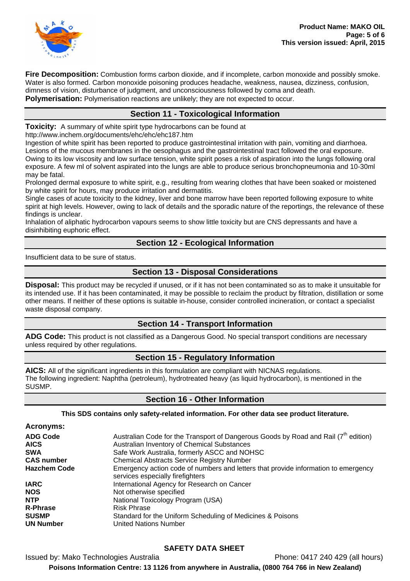

**Fire Decomposition:** Combustion forms carbon dioxide, and if incomplete, carbon monoxide and possibly smoke. Water is also formed. Carbon monoxide poisoning produces headache, weakness, nausea, dizziness, confusion, dimness of vision, disturbance of judgment, and unconsciousness followed by coma and death. **Polymerisation:** Polymerisation reactions are unlikely; they are not expected to occur.

### **Section 11 - Toxicological Information**

**Toxicity:** A summary of white spirit type hydrocarbons can be found at

http://www.inchem.org/documents/ehc/ehc/ehc187.htm

Ingestion of white spirit has been reported to produce gastrointestinal irritation with pain, vomiting and diarrhoea. Lesions of the mucous membranes in the oesophagus and the gastrointestinal tract followed the oral exposure. Owing to its low viscosity and low surface tension, white spirit poses a risk of aspiration into the lungs following oral exposure. A few ml of solvent aspirated into the lungs are able to produce serious bronchopneumonia and 10-30ml may be fatal.

Prolonged dermal exposure to white spirit, e.g., resulting from wearing clothes that have been soaked or moistened by white spirit for hours, may produce irritation and dermatitis.

Single cases of acute toxicity to the kidney, liver and bone marrow have been reported following exposure to white spirit at high levels. However, owing to lack of details and the sporadic nature of the reportings, the relevance of these findings is unclear.

Inhalation of aliphatic hydrocarbon vapours seems to show little toxicity but are CNS depressants and have a disinhibiting euphoric effect.

### **Section 12 - Ecological Information**

Insufficient data to be sure of status.

### **Section 13 - Disposal Considerations**

**Disposal:** This product may be recycled if unused, or if it has not been contaminated so as to make it unsuitable for its intended use. If it has been contaminated, it may be possible to reclaim the product by filtration, distillation or some other means. If neither of these options is suitable in-house, consider controlled incineration, or contact a specialist waste disposal company.

# **Section 14 - Transport Information**

**ADG Code:** This product is not classified as a Dangerous Good. No special transport conditions are necessary unless required by other regulations.

### **Section 15 - Regulatory Information**

**AICS:** All of the significant ingredients in this formulation are compliant with NICNAS regulations. The following ingredient: Naphtha (petroleum), hydrotreated heavy (as liquid hydrocarbon), is mentioned in the SUSMP.

### **Section 16 - Other Information**

**This SDS contains only safety-related information. For other data see product literature.** 

**Acronyms: ADG Code** Australian Code for the Transport of Dangerous Goods by Road and Rail (7<sup>th</sup> edition)<br>**AICS** Australian Inventory of Chemical Substances **Australian Inventory of Chemical Substances SWA Safe Work Australia, formerly ASCC and NOHSC CAS number Chemical Abstracts Service Registry Number Hazchem Code** Emergency action code of numbers and letters that provide information to emergency services especially firefighters **IARC** International Agency for Research on Cancer **NOS** Not otherwise specified **NTP** National Toxicology Program (USA)<br>
R-Phrase Risk Phrase **R-Phrase** Risk Phrase **SUSMP** Standard for the Uniform Scheduling of Medicines & Poisons **UN Number** United Nations Number

# **SAFETY DATA SHEET**

Issued by: Mako Technologies Australia Phone: 0417 240 429 (all hours) **Poisons Information Centre: 13 1126 from anywhere in Australia, (0800 764 766 in New Zealand)**